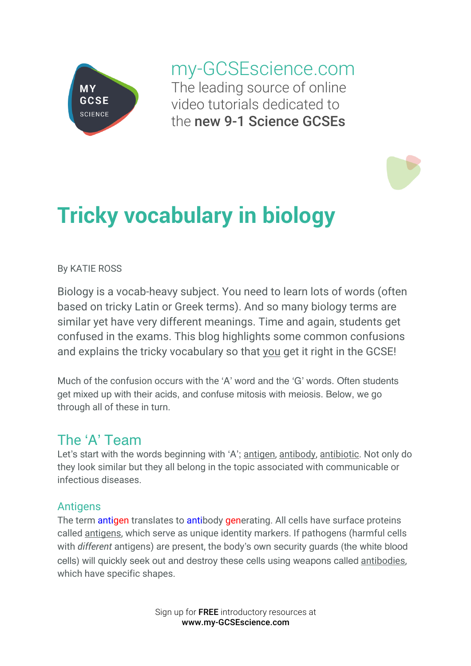

my-GCSEscience.com The leading source of online video tutorials dedicated to the new 9-1 Science GCSEs

# **Tricky vocabulary in biology**

#### By KATIE ROSS

Biology is a vocab-heavy subject. You need to learn lots of words (often based on tricky Latin or Greek terms). And so many biology terms are similar yet have very different meanings. Time and again, students get confused in the exams. This blog highlights some common confusions and explains the tricky vocabulary so that you get it right in the GCSE!

Much of the confusion occurs with the 'A' word and the 'G' words. Often students get mixed up with their acids, and confuse mitosis with meiosis. Below, we go through all of these in turn.

## The 'A' Team

Let's start with the words beginning with 'A'; antigen, antibody, antibiotic. Not only do they look similar but they all belong in the topic associated with communicable or infectious diseases.

### **Antigens**

The term antigen translates to antibody generating. All cells have surface proteins called antigens, which serve as unique identity markers. If pathogens (harmful cells with *different* antigens) are present, the body's own security guards (the white blood cells) will quickly seek out and destroy these cells using weapons called antibodies, which have specific shapes.

> Sign up for **FREE** introductory resources at www.my-GCSEscience.com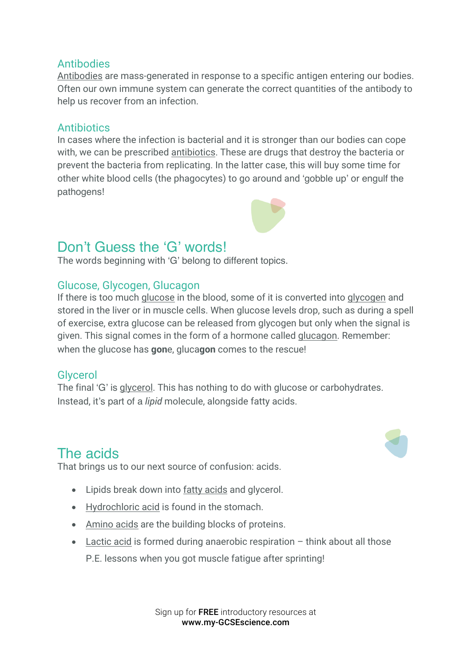#### **Antibodies**

Antibodies are mass-generated in response to a specific antigen entering our bodies. Often our own immune system can generate the correct quantities of the antibody to help us recover from an infection.

#### **Antibiotics**

In cases where the infection is bacterial and it is stronger than our bodies can cope with, we can be prescribed antibiotics. These are drugs that destroy the bacteria or prevent the bacteria from replicating. In the latter case, this will buy some time for other white blood cells (the phagocytes) to go around and 'gobble up' or engulf the pathogens!

## Don't Guess the 'G' words!

The words beginning with 'G' belong to different topics.

#### Glucose, Glycogen, Glucagon

If there is too much glucose in the blood, some of it is converted into glycogen and stored in the liver or in muscle cells. When glucose levels drop, such as during a spell of exercise, extra glucose can be released from glycogen but only when the signal is given. This signal comes in the form of a hormone called glucagon. Remember: when the glucose has **gon**e, gluca**gon** comes to the rescue!

#### Glycerol

The final 'G' is glycerol. This has nothing to do with glucose or carbohydrates. Instead, it's part of a *lipid* molecule, alongside fatty acids.

## The acids

That brings us to our next source of confusion: acids.

- Lipids break down into fatty acids and glycerol.
- Hydrochloric acid is found in the stomach.
- Amino acids are the building blocks of proteins.
- Lactic acid is formed during anaerobic respiration think about all those P.E. lessons when you got muscle fatigue after sprinting!

Sign up for **FREE** introductory resources at www.my-GCSEscience.com